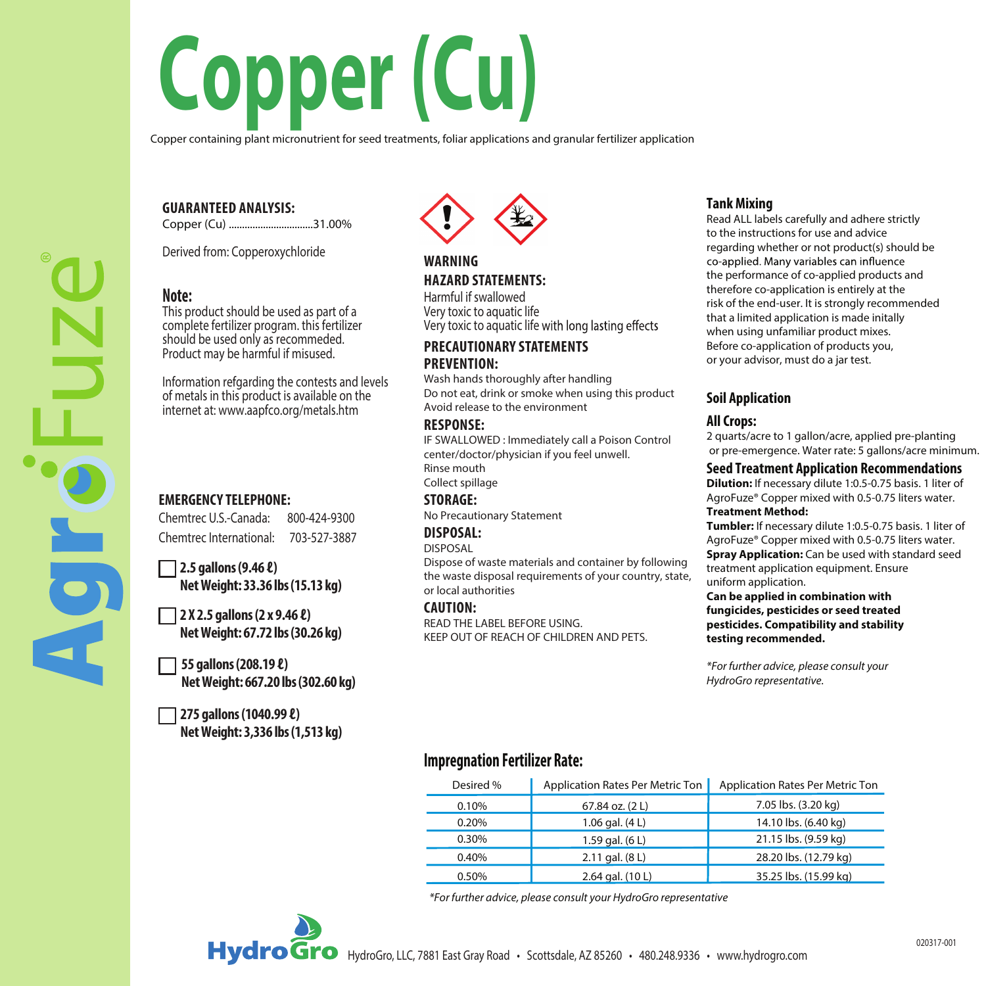# **Copper (Cu)**

Copper containing plant micronutrient for seed treatments, foliar applications and granular fertilizer application

### **GUARANTEED ANALYSIS:**

Copper (Cu) ................................31.00%

Derived from: Copperoxychloride

## **Note:**

This product should be used as part of a complete fertilizer program. this fertilizer should be used only as recommeded. Product may be harmful if misused.

Information refgarding the contests and levels of metals in this product is available on the internet at: www.aapfco.org/metals.htm

## **EMERGENCY TELEPHONE:**

Chemtrec U.S.-Canada: 800-424-9300 Chemtrec International: 703-527-3887

**2.5 gallons (9.46 ℓ) NetWeight: 33.36 lbs (15.13 kg)** 

**2 X 2.5 gallons (2 x 9.46 ℓ) NetWeight: 67.72 lbs (30.26 kg)**

**55 gallons(208.19 ℓ) NetWeight:667.20 lbs (302.60 kg)**

**275 gallons (1040.99 ℓ) NetWeight: 3,336 lbs(1,513 kg)**



### **WARNING HAZARD STATEMENTS:**

Harmful if swallowed Very toxic to aquatic life Very toxic to aquatic life with long lasting effects

#### **PRECAUTIONARY STATEMENTS PREVENTION:**

Wash hands thoroughly after handling Do not eat, drink or smoke when using this product Avoid release to the environment

#### **RESPONSE:**

IF SWALLOWED : Immediately call a Poison Control center/doctor/physician if you feel unwell. Rinse mouth

Collect spillage **STORAGE:**

No Precautionary Statement

#### **DISPOSAL:** DISPOSAL

Dispose of waste materials and container by following the waste disposal requirements of your country, state, or local authorities

#### **CAUTION:**

READ THE LABEL BEFORE USING. KEEP OUT OF REACH OF CHILDREN AND PETS.

## **Tank Mixing**

Read ALL labels carefully and adhere strictly to the instructions for use and advice regarding whether or not product(s) should be co-applied. Many variables can influence the performance of co-applied products and therefore co-application is entirely at the risk of the end-user. It is strongly recommended that a limited application is made initally when using unfamiliar product mixes. Before co-application of products you, or your advisor, must do a jar test.

## **Soil Application**

#### **All Crops:**

2 quarts/acre to 1 gallon/acre, applied pre-planting or pre-emergence. Water rate: 5 gallons/acre minimum.

#### **Seed Treatment Application Recommendations**

**Dilution:** If necessary dilute 1:0.5-0.75 basis. 1 liter of AgroFuze® Copper mixed with 0.5-0.75 liters water. **Treatment Method:**

**Tumbler:** If necessary dilute 1:0.5-0.75 basis. 1 liter of AgroFuze® Copper mixed with 0.5-0.75 liters water. **Spray Application:** Can be used with standard seed treatment application equipment. Ensure uniform application.

**Can be applied in combination with fungicides, pesticides or seed treated pesticides. Compatibility and stability testing recommended.**

*\*For further advice, please consult your HydroGro representative.*

# **Impregnation Fertilizer Rate:**

| Desired % | Application Rates Per Metric Ton | Application Rates Per Metric Ton |
|-----------|----------------------------------|----------------------------------|
| 0.10%     | 67.84 oz. (2 L)                  | 7.05 lbs. (3.20 kg)              |
| 0.20%     | 1.06 gal. (4 L)                  | 14.10 lbs. (6.40 kg)             |
| 0.30%     | 1.59 gal. (6 L)                  | 21.15 lbs. (9.59 kg)             |
| 0.40%     | 2.11 gal. (8 L)                  | 28.20 lbs. (12.79 kg)            |
| 0.50%     | 2.64 gal. (10 L)                 | 35.25 lbs. (15.99 kg)            |

*\*For further advice, please consult your HydroGro representative*